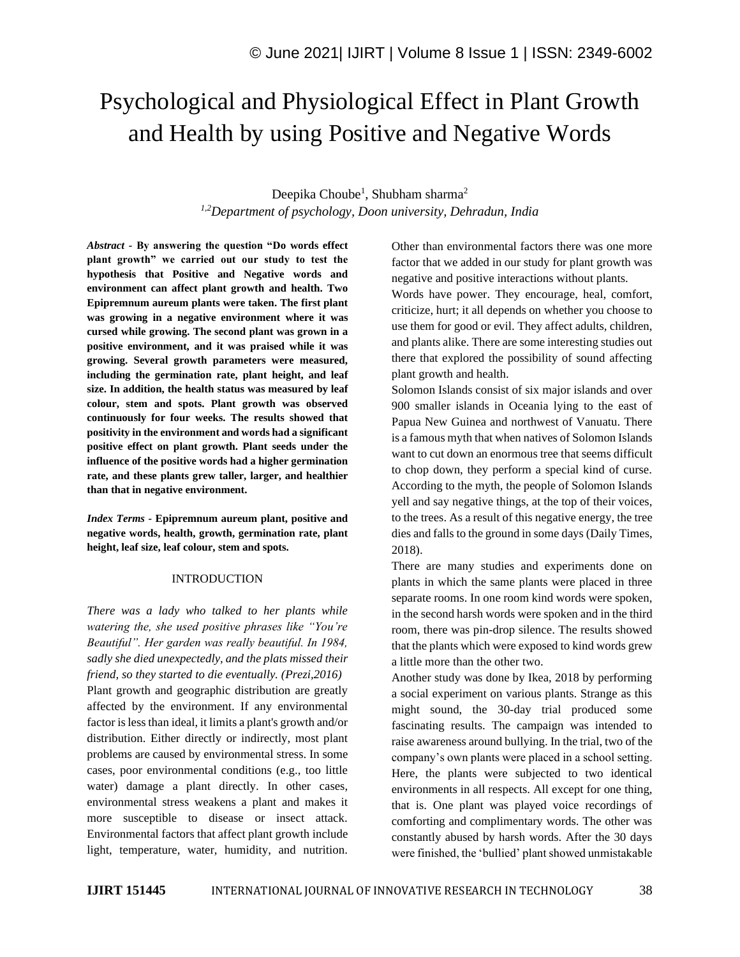# Psychological and Physiological Effect in Plant Growth and Health by using Positive and Negative Words

# Deepika Choube<sup>1</sup>, Shubham sharma<sup>2</sup> *1,2Department of psychology, Doon university, Dehradun, India*

*Abstract -* **By answering the question "Do words effect plant growth" we carried out our study to test the hypothesis that Positive and Negative words and environment can affect plant growth and health. Two Epipremnum aureum plants were taken. The first plant was growing in a negative environment where it was cursed while growing. The second plant was grown in a positive environment, and it was praised while it was growing. Several growth parameters were measured, including the germination rate, plant height, and leaf size. In addition, the health status was measured by leaf colour, stem and spots. Plant growth was observed continuously for four weeks. The results showed that positivity in the environment and words had a significant positive effect on plant growth. Plant seeds under the influence of the positive words had a higher germination rate, and these plants grew taller, larger, and healthier than that in negative environment.**

*Index Terms -* **Epipremnum aureum plant, positive and negative words, health, growth, germination rate, plant height, leaf size, leaf colour, stem and spots.**

#### INTRODUCTION

*There was a lady who talked to her plants while watering the, she used positive phrases like "You're Beautiful". Her garden was really beautiful. In 1984, sadly she died unexpectedly, and the plats missed their friend, so they started to die eventually. (Prezi,2016)* Plant growth and geographic distribution are greatly affected by the environment. If any environmental factor is less than ideal, it limits a plant's growth and/or distribution. Either directly or indirectly, most plant problems are caused by environmental stress. In some cases, poor environmental conditions (e.g., too little water) damage a plant directly. In other cases, environmental stress weakens a plant and makes it more susceptible to disease or insect attack. Environmental factors that affect plant growth include light, temperature, water, humidity, and nutrition. Other than environmental factors there was one more factor that we added in our study for plant growth was negative and positive interactions without plants.

Words have power. They encourage, heal, comfort, criticize, hurt; it all depends on whether you choose to use them for good or evil. They affect adults, children, and plants alike. There are some interesting studies out there that explored the possibility of sound affecting plant growth and health.

Solomon Islands consist of six major islands and over 900 smaller islands in Oceania lying to the east of Papua New Guinea and northwest of Vanuatu. There is a famous myth that when natives of Solomon Islands want to cut down an enormous tree that seems difficult to chop down, they perform a special kind of curse. According to the myth, the people of Solomon Islands yell and say negative things, at the top of their voices, to the trees. As a result of this negative energy, the tree dies and falls to the ground in some days (Daily Times, 2018).

There are many studies and experiments done on plants in which the same plants were placed in three separate rooms. In one room kind words were spoken, in the second harsh words were spoken and in the third room, there was pin-drop silence. The results showed that the plants which were exposed to kind words grew a little more than the other two.

Another study was done by Ikea, 2018 by performing a social experiment on various plants. Strange as this might sound, the 30-day trial produced some fascinating results. The campaign was intended to raise awareness around bullying. In the trial, two of the company's own plants were placed in a school setting. Here, the plants were subjected to two identical environments in all respects. All except for one thing, that is. One plant was played voice recordings of comforting and complimentary words. The other was constantly abused by harsh words. After the 30 days were finished, the 'bullied' plant showed unmistakable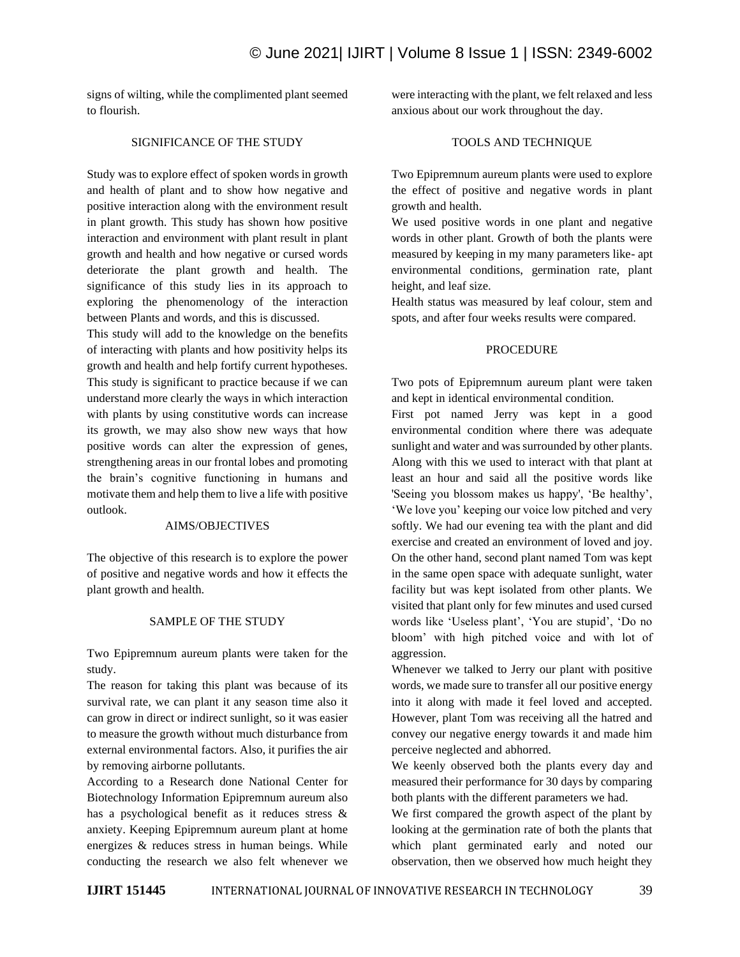signs of wilting, while the complimented plant seemed to flourish.

# SIGNIFICANCE OF THE STUDY

Study was to explore effect of spoken words in growth and health of plant and to show how negative and positive interaction along with the environment result in plant growth. This study has shown how positive interaction and environment with plant result in plant growth and health and how negative or cursed words deteriorate the plant growth and health. The significance of this study lies in its approach to exploring the phenomenology of the interaction between Plants and words, and this is discussed.

This study will add to the knowledge on the benefits of interacting with plants and how positivity helps its growth and health and help fortify current hypotheses. This study is significant to practice because if we can understand more clearly the ways in which interaction with plants by using constitutive words can increase its growth, we may also show new ways that how positive words can alter the expression of genes, strengthening areas in our frontal lobes and promoting the brain's cognitive functioning in humans and motivate them and help them to live a life with positive outlook.

### AIMS/OBJECTIVES

The objective of this research is to explore the power of positive and negative words and how it effects the plant growth and health.

# SAMPLE OF THE STUDY

Two Epipremnum aureum plants were taken for the study.

The reason for taking this plant was because of its survival rate, we can plant it any season time also it can grow in direct or indirect sunlight, so it was easier to measure the growth without much disturbance from external environmental factors. Also, it purifies the air by removing airborne pollutants.

According to a Research done National Center for Biotechnology Information Epipremnum aureum also has a psychological benefit as it reduces stress & anxiety. Keeping Epipremnum aureum plant at home energizes & reduces stress in human beings. While conducting the research we also felt whenever we were interacting with the plant, we felt relaxed and less anxious about our work throughout the day.

# TOOLS AND TECHNIQUE

Two Epipremnum aureum plants were used to explore the effect of positive and negative words in plant growth and health.

We used positive words in one plant and negative words in other plant. Growth of both the plants were measured by keeping in my many parameters like- apt environmental conditions, germination rate, plant height, and leaf size.

Health status was measured by leaf colour, stem and spots, and after four weeks results were compared.

# PROCEDURE

Two pots of Epipremnum aureum plant were taken and kept in identical environmental condition.

First pot named Jerry was kept in a good environmental condition where there was adequate sunlight and water and was surrounded by other plants. Along with this we used to interact with that plant at least an hour and said all the positive words like 'Seeing you blossom makes us happy', 'Be healthy', 'We love you' keeping our voice low pitched and very softly. We had our evening tea with the plant and did exercise and created an environment of loved and joy. On the other hand, second plant named Tom was kept in the same open space with adequate sunlight, water facility but was kept isolated from other plants. We visited that plant only for few minutes and used cursed words like 'Useless plant', 'You are stupid', 'Do no bloom' with high pitched voice and with lot of aggression.

Whenever we talked to Jerry our plant with positive words, we made sure to transfer all our positive energy into it along with made it feel loved and accepted. However, plant Tom was receiving all the hatred and convey our negative energy towards it and made him perceive neglected and abhorred.

We keenly observed both the plants every day and measured their performance for 30 days by comparing both plants with the different parameters we had.

We first compared the growth aspect of the plant by looking at the germination rate of both the plants that which plant germinated early and noted our observation, then we observed how much height they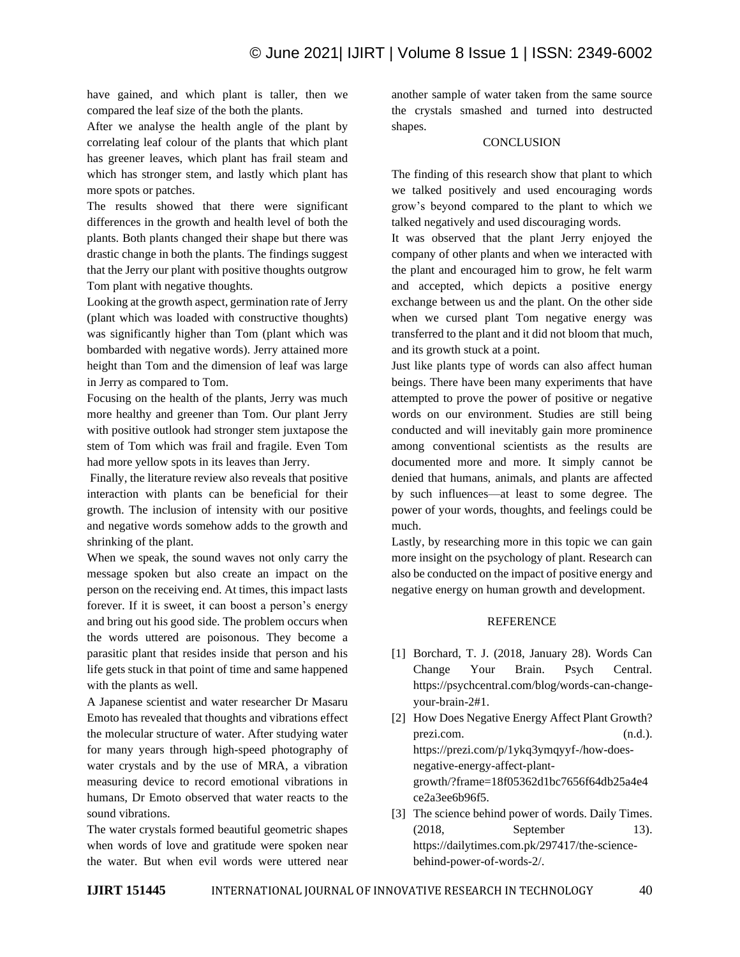have gained, and which plant is taller, then we compared the leaf size of the both the plants.

After we analyse the health angle of the plant by correlating leaf colour of the plants that which plant has greener leaves, which plant has frail steam and which has stronger stem, and lastly which plant has more spots or patches.

The results showed that there were significant differences in the growth and health level of both the plants. Both plants changed their shape but there was drastic change in both the plants. The findings suggest that the Jerry our plant with positive thoughts outgrow Tom plant with negative thoughts.

Looking at the growth aspect, germination rate of Jerry (plant which was loaded with constructive thoughts) was significantly higher than Tom (plant which was bombarded with negative words). Jerry attained more height than Tom and the dimension of leaf was large in Jerry as compared to Tom.

Focusing on the health of the plants, Jerry was much more healthy and greener than Tom. Our plant Jerry with positive outlook had stronger stem juxtapose the stem of Tom which was frail and fragile. Even Tom had more yellow spots in its leaves than Jerry.

Finally, the literature review also reveals that positive interaction with plants can be beneficial for their growth. The inclusion of intensity with our positive and negative words somehow adds to the growth and shrinking of the plant.

When we speak, the sound waves not only carry the message spoken but also create an impact on the person on the receiving end. At times, this impact lasts forever. If it is sweet, it can boost a person's energy and bring out his good side. The problem occurs when the words uttered are poisonous. They become a parasitic plant that resides inside that person and his life gets stuck in that point of time and same happened with the plants as well.

A Japanese scientist and water researcher Dr Masaru Emoto has revealed that thoughts and vibrations effect the molecular structure of water. After studying water for many years through high-speed photography of water crystals and by the use of MRA, a vibration measuring device to record emotional vibrations in humans, Dr Emoto observed that water reacts to the sound vibrations.

The water crystals formed beautiful geometric shapes when words of love and gratitude were spoken near the water. But when evil words were uttered near another sample of water taken from the same source the crystals smashed and turned into destructed shapes.

# **CONCLUSION**

The finding of this research show that plant to which we talked positively and used encouraging words grow's beyond compared to the plant to which we talked negatively and used discouraging words.

It was observed that the plant Jerry enjoyed the company of other plants and when we interacted with the plant and encouraged him to grow, he felt warm and accepted, which depicts a positive energy exchange between us and the plant. On the other side when we cursed plant Tom negative energy was transferred to the plant and it did not bloom that much, and its growth stuck at a point.

Just like plants type of words can also affect human beings. There have been many experiments that have attempted to prove the power of positive or negative words on our environment. Studies are still being conducted and will inevitably gain more prominence among conventional scientists as the results are documented more and more. It simply cannot be denied that humans, animals, and plants are affected by such influences—at least to some degree. The power of your words, thoughts, and feelings could be much.

Lastly, by researching more in this topic we can gain more insight on the psychology of plant. Research can also be conducted on the impact of positive energy and negative energy on human growth and development.

#### **REFERENCE**

- [1] Borchard, T. J. (2018, January 28). Words Can Change Your Brain. Psych Central. https://psychcentral.com/blog/words-can-changeyour-brain-2#1.
- [2] How Does Negative Energy Affect Plant Growth? prezi.com. (n.d.). https://prezi.com/p/1ykq3ymqyyf-/how-doesnegative-energy-affect-plantgrowth/?frame=18f05362d1bc7656f64db25a4e4 ce2a3ee6b96f5.
- [3] The science behind power of words. Daily Times. (2018, September 13). https://dailytimes.com.pk/297417/the-sciencebehind-power-of-words-2/.